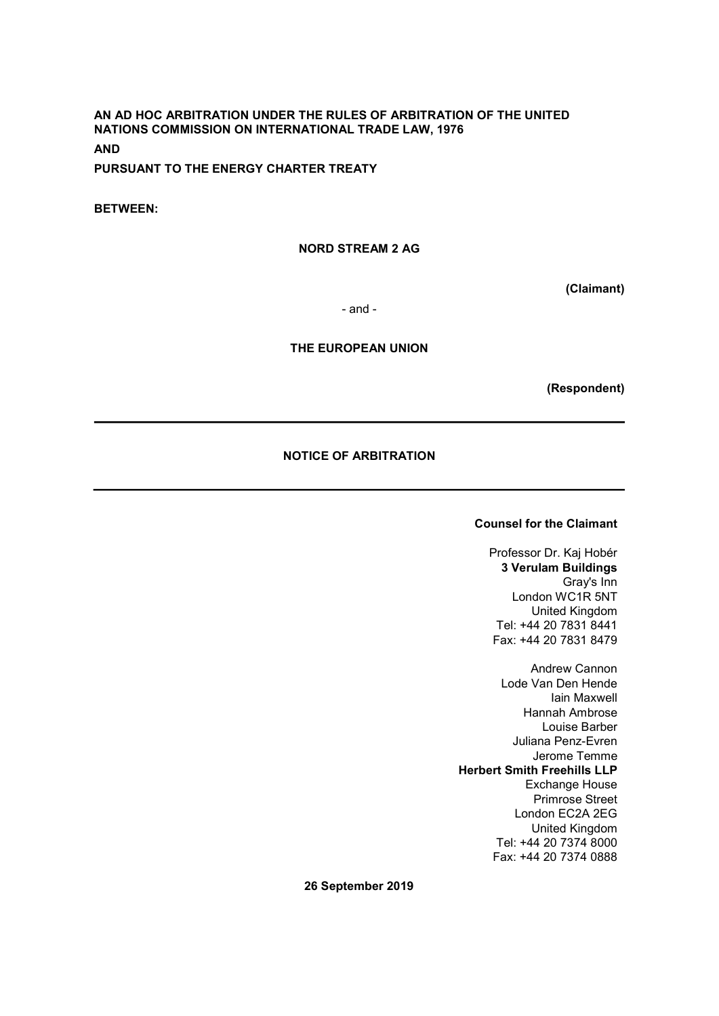### AN AD HOC ARBITRATION UNDER THE RULES OF ARBITRATION OF THE UNITED NATIONS COMMISSION ON INTERNATIONAL TRADE LAW, 1976 AND

PURSUANT TO THE ENERGY CHARTER TREATY

BETWEEN:

### NORD STREAM 2 AG

(Claimant)

- and -

#### THE EUROPEAN UNION

(Respondent)

### NOTICE OF ARBITRATION

### Counsel for the Claimant

Professor Dr. Kaj Hobér 3 Verulam Buildings Gray's Inn London WC1R 5NT United Kingdom Tel: +44 20 7831 8441 Fax: +44 20 7831 8479

Andrew Cannon Lode Van Den Hende Iain Maxwell Hannah Ambrose Louise Barber Juliana Penz-Evren Jerome Temme Herbert Smith Freehills LLP Exchange House Primrose Street London EC2A 2EG United Kingdom Tel: +44 20 7374 8000 Fax: +44 20 7374 0888

26 September 2019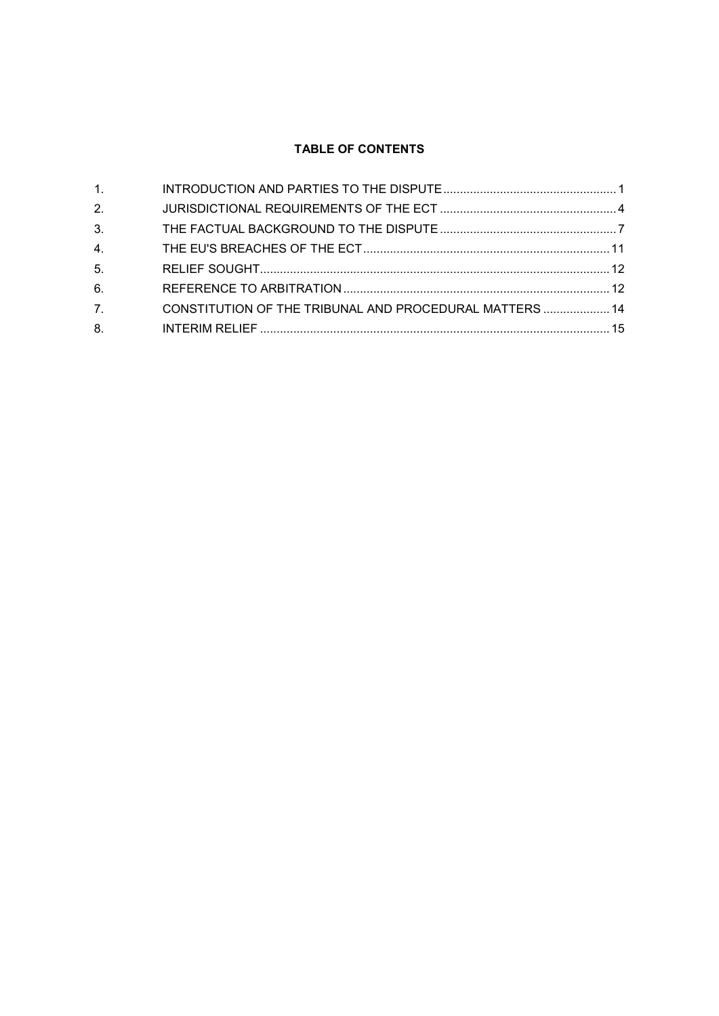# TABLE OF CONTENTS

| 1.               |                                                         |  |
|------------------|---------------------------------------------------------|--|
| 2.               |                                                         |  |
| 3.               |                                                         |  |
| 4.               |                                                         |  |
| 5 <sub>1</sub>   |                                                         |  |
| 6.               |                                                         |  |
| $\overline{7}$ . | CONSTITUTION OF THE TRIBUNAL AND PROCEDURAL MATTERS  14 |  |
| 8.               |                                                         |  |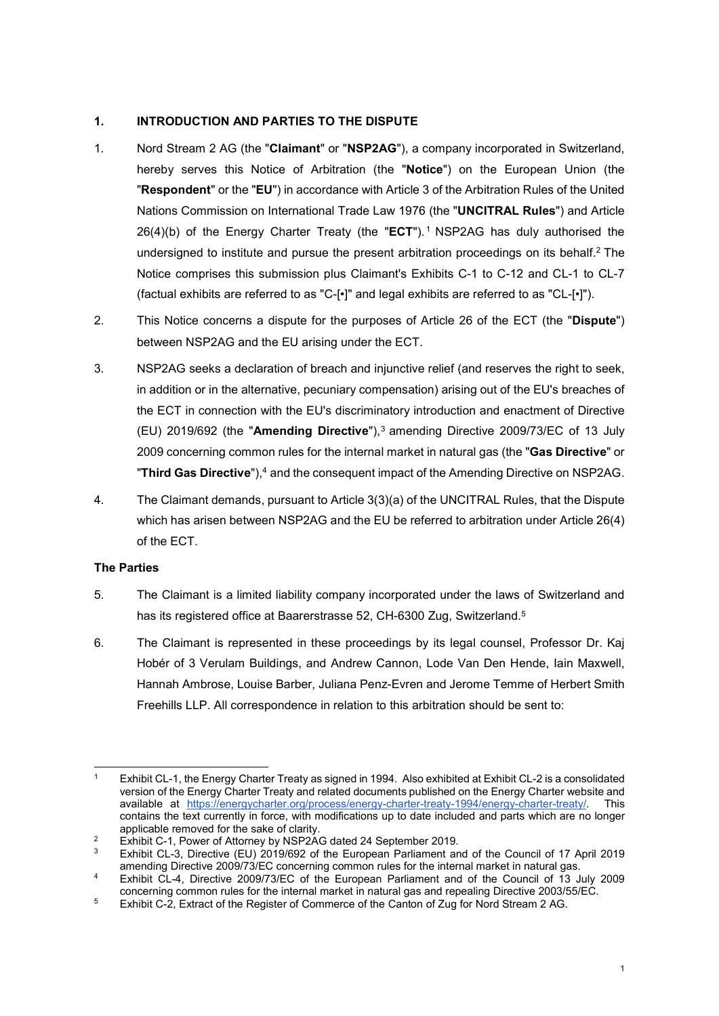### 1. INTRODUCTION AND PARTIES TO THE DISPUTE

- 1. Nord Stream 2 AG (the "Claimant" or "NSP2AG"), a company incorporated in Switzerland, hereby serves this Notice of Arbitration (the "Notice") on the European Union (the "Respondent" or the "EU") in accordance with Article 3 of the Arbitration Rules of the United Nations Commission on International Trade Law 1976 (the "UNCITRAL Rules") and Article 26(4)(b) of the Energy Charter Treaty (the "ECT").<sup>1</sup> NSP2AG has duly authorised the undersigned to institute and pursue the present arbitration proceedings on its behalf.<sup>2</sup> The Notice comprises this submission plus Claimant's Exhibits C-1 to C-12 and CL-1 to CL-7 (factual exhibits are referred to as "C-[•]" and legal exhibits are referred to as "CL-[•]").
- 2. This Notice concerns a dispute for the purposes of Article 26 of the ECT (the "Dispute") between NSP2AG and the EU arising under the ECT.
- 3. NSP2AG seeks a declaration of breach and injunctive relief (and reserves the right to seek, in addition or in the alternative, pecuniary compensation) arising out of the EU's breaches of the ECT in connection with the EU's discriminatory introduction and enactment of Directive (EU) 2019/692 (the "Amending Directive"), $3$  amending Directive 2009/73/EC of 13 July 2009 concerning common rules for the internal market in natural gas (the "Gas Directive" or "Third Gas Directive"), $4$  and the consequent impact of the Amending Directive on NSP2AG.
- 4. The Claimant demands, pursuant to Article 3(3)(a) of the UNCITRAL Rules, that the Dispute which has arisen between NSP2AG and the EU be referred to arbitration under Article 26(4) of the ECT.

### The Parties

- 5. The Claimant is a limited liability company incorporated under the laws of Switzerland and has its registered office at Baarerstrasse 52, CH-6300 Zug, Switzerland.<sup>5</sup>
- 6. The Claimant is represented in these proceedings by its legal counsel, Professor Dr. Kaj Hobér of 3 Verulam Buildings, and Andrew Cannon, Lode Van Den Hende, Iain Maxwell, Hannah Ambrose, Louise Barber, Juliana Penz-Evren and Jerome Temme of Herbert Smith Freehills LLP. All correspondence in relation to this arbitration should be sent to:

<sup>1</sup> Exhibit CL-1, the Energy Charter Treaty as signed in 1994. Also exhibited at Exhibit CL-2 is a consolidated version of the Energy Charter Treaty and related documents published on the Energy Charter website and available at https://energycharter.org/process/energy-charter-treaty-1994/energy-charter-treaty/. This contains the text currently in force, with modifications up to date included and parts which are no longer applicable removed for the sake of clarity.

<sup>2</sup> Exhibit C-1, Power of Attorney by NSP2AG dated 24 September 2019.

<sup>3</sup> Exhibit CL-3, Directive (EU) 2019/692 of the European Parliament and of the Council of 17 April 2019 amending Directive 2009/73/EC concerning common rules for the internal market in natural gas.

<sup>4</sup> Exhibit CL-4, Directive 2009/73/EC of the European Parliament and of the Council of 13 July 2009 concerning common rules for the internal market in natural gas and repealing Directive 2003/55/EC.

<sup>&</sup>lt;sup>5</sup> Exhibit C-2, Extract of the Register of Commerce of the Canton of Zug for Nord Stream 2 AG.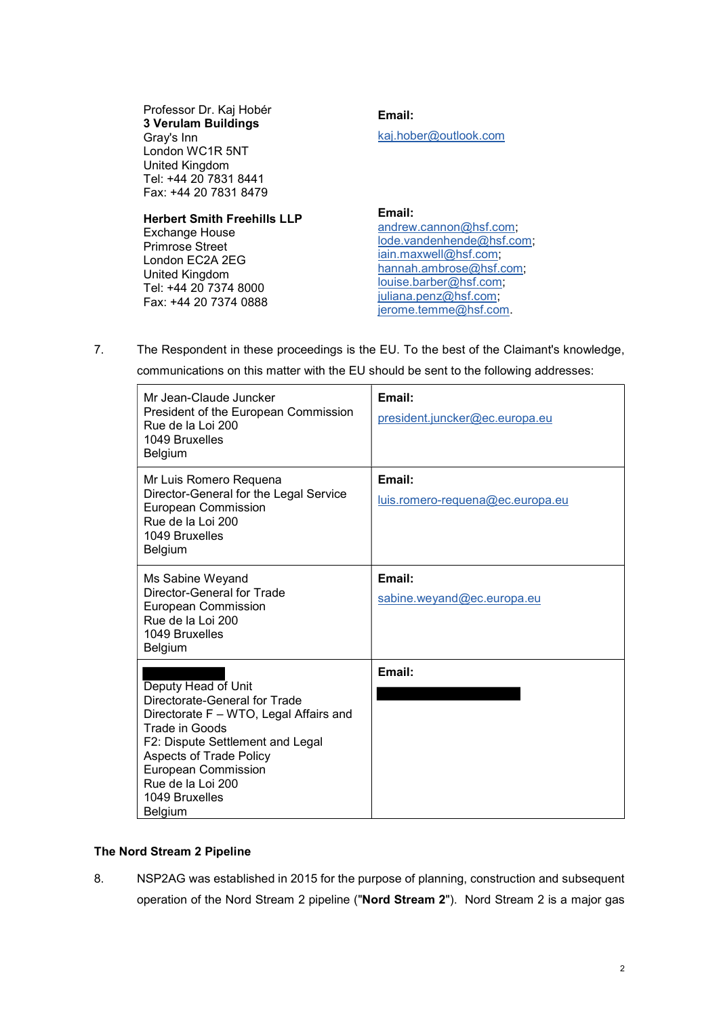Professor Dr. Kaj Hobér 3 Verulam Buildings Gray's Inn London WC1R 5NT United Kingdom Tel: +44 20 7831 8441 Fax: +44 20 7831 8479

#### Herbert Smith Freehills LLP

Exchange House Primrose Street London EC2A 2EG United Kingdom Tel: +44 20 7374 8000 Fax: +44 20 7374 0888 Email: kaj.hober@outlook.com

#### Email:

andrew.cannon@hsf.com; lode.vandenhende@hsf.com; iain.maxwell@hsf.com; hannah.ambrose@hsf.com; louise.barber@hsf.com; juliana.penz@hsf.com; jerome.temme@hsf.com.

7. The Respondent in these proceedings is the EU. To the best of the Claimant's knowledge,

| communications on this matter with the EU should be sent to the following addresses:                                                                                                                                                                                          |                                            |  |  |
|-------------------------------------------------------------------------------------------------------------------------------------------------------------------------------------------------------------------------------------------------------------------------------|--------------------------------------------|--|--|
| Mr Jean-Claude Juncker<br>President of the European Commission<br>Rue de la Loi 200<br>1049 Bruxelles<br>Belgium                                                                                                                                                              | Email:<br>president.juncker@ec.europa.eu   |  |  |
| Mr Luis Romero Requena<br>Director-General for the Legal Service<br><b>European Commission</b><br>Rue de la Loi 200<br>1049 Bruxelles<br><b>Belgium</b>                                                                                                                       | Email:<br>luis.romero-requena@ec.europa.eu |  |  |
| Ms Sabine Weyand<br><b>Director-General for Trade</b><br><b>European Commission</b><br>Rue de la Loi 200<br>1049 Bruxelles<br>Belgium                                                                                                                                         | Email:<br>sabine.weyand@ec.europa.eu       |  |  |
| Deputy Head of Unit<br>Directorate-General for Trade<br>Directorate F - WTO, Legal Affairs and<br><b>Trade in Goods</b><br>F2: Dispute Settlement and Legal<br><b>Aspects of Trade Policy</b><br><b>European Commission</b><br>Rue de la Loi 200<br>1049 Bruxelles<br>Belgium | Email:                                     |  |  |

## The Nord Stream 2 Pipeline

8. NSP2AG was established in 2015 for the purpose of planning, construction and subsequent operation of the Nord Stream 2 pipeline ("Nord Stream 2"). Nord Stream 2 is a major gas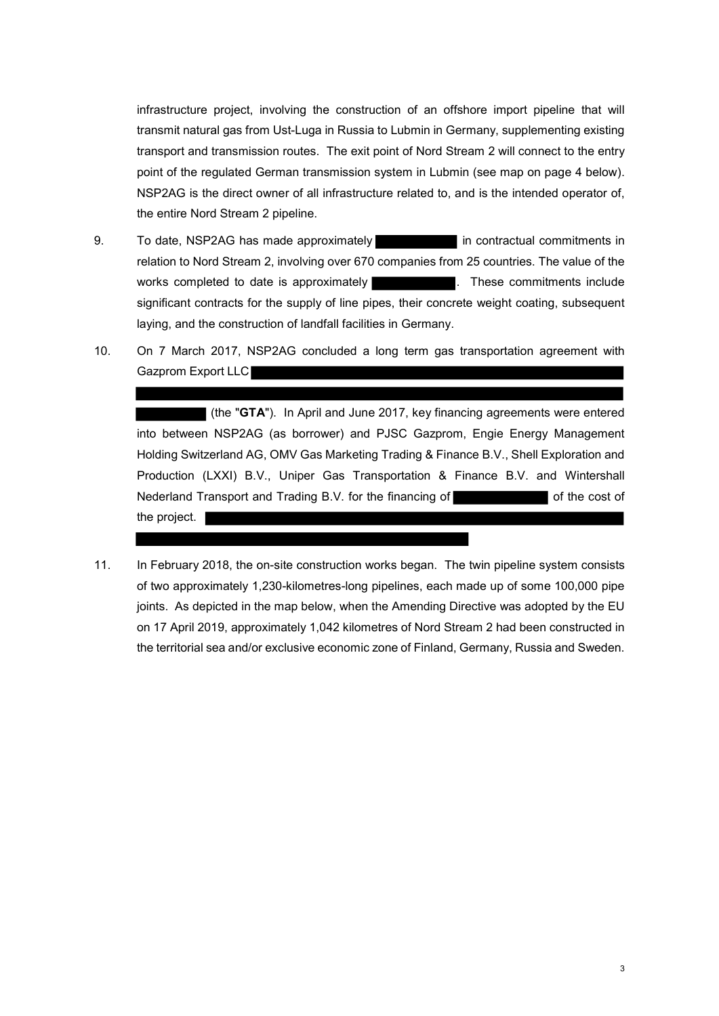infrastructure project, involving the construction of an offshore import pipeline that will transmit natural gas from Ust-Luga in Russia to Lubmin in Germany, supplementing existing transport and transmission routes. The exit point of Nord Stream 2 will connect to the entry point of the regulated German transmission system in Lubmin (see map on page 4 below). NSP2AG is the direct owner of all infrastructure related to, and is the intended operator of, the entire Nord Stream 2 pipeline.

- 9. To date, NSP2AG has made approximately **in** contractual commitments in relation to Nord Stream 2, involving over 670 companies from 25 countries. The value of the works completed to date is approximately **the community of the commitments** include significant contracts for the supply of line pipes, their concrete weight coating, subsequent laying, and the construction of landfall facilities in Germany.
- 10. On 7 March 2017, NSP2AG concluded a long term gas transportation agreement with Gazprom Export LLC

(the "GTA"). In April and June 2017, key financing agreements were entered into between NSP2AG (as borrower) and PJSC Gazprom, Engie Energy Management Holding Switzerland AG, OMV Gas Marketing Trading & Finance B.V., Shell Exploration and Production (LXXI) B.V., Uniper Gas Transportation & Finance B.V. and Wintershall Nederland Transport and Trading B.V. for the financing of **the cost of the cost of the cost of** the project.

11. In February 2018, the on-site construction works began. The twin pipeline system consists of two approximately 1,230-kilometres-long pipelines, each made up of some 100,000 pipe joints. As depicted in the map below, when the Amending Directive was adopted by the EU on 17 April 2019, approximately 1,042 kilometres of Nord Stream 2 had been constructed in the territorial sea and/or exclusive economic zone of Finland, Germany, Russia and Sweden.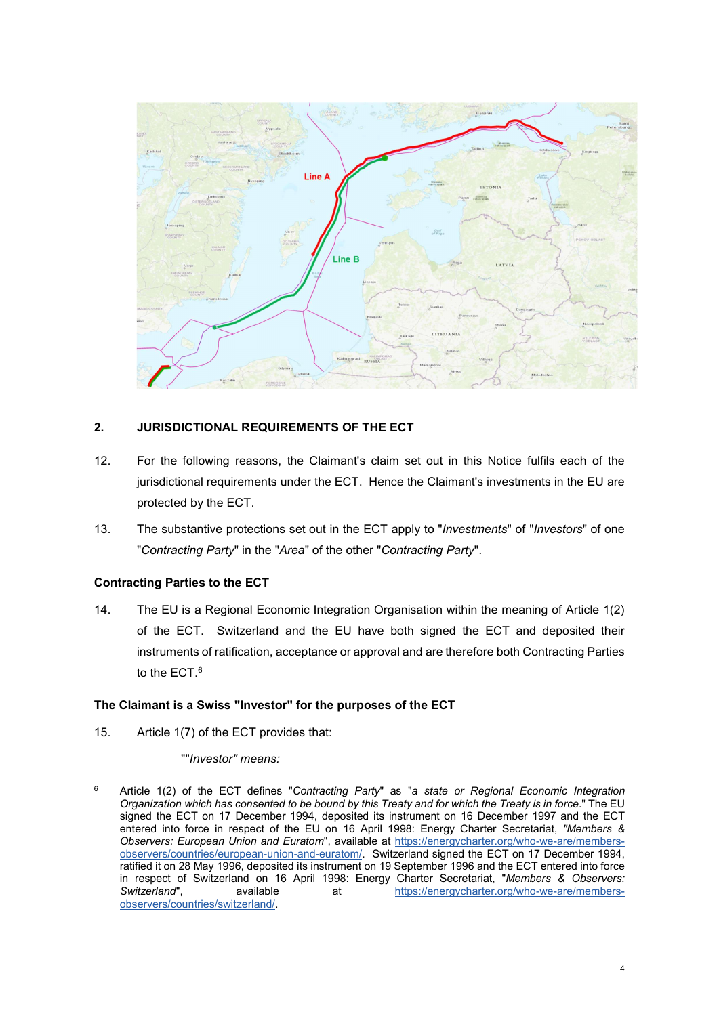

## 2. JURISDICTIONAL REQUIREMENTS OF THE ECT

- 12. For the following reasons, the Claimant's claim set out in this Notice fulfils each of the jurisdictional requirements under the ECT. Hence the Claimant's investments in the EU are protected by the ECT.
- 13. The substantive protections set out in the ECT apply to "Investments" of "Investors" of one "Contracting Party" in the "Area" of the other "Contracting Party".

### Contracting Parties to the ECT

14. The EU is a Regional Economic Integration Organisation within the meaning of Article 1(2) of the ECT. Switzerland and the EU have both signed the ECT and deposited their instruments of ratification, acceptance or approval and are therefore both Contracting Parties to the ECT. $^6$ 

### The Claimant is a Swiss "Investor" for the purposes of the ECT

15. Article 1(7) of the ECT provides that:

""Investor" means:

 6 Article 1(2) of the ECT defines "Contracting Party" as "a state or Regional Economic Integration Organization which has consented to be bound by this Treaty and for which the Treaty is in force." The EU signed the ECT on 17 December 1994, deposited its instrument on 16 December 1997 and the ECT entered into force in respect of the EU on 16 April 1998: Energy Charter Secretariat, "Members & Observers: European Union and Euratom", available at https://energycharter.org/who-we-are/membersobservers/countries/european-union-and-euratom/. Switzerland signed the ECT on 17 December 1994, ratified it on 28 May 1996, deposited its instrument on 19 September 1996 and the ECT entered into force in respect of Switzerland on 16 April 1998: Energy Charter Secretariat, "Members & Observers:<br>Switzerland". available at https://energycharter.org/who-we-are/membersavailable at at https://energycharter.org/who-we-are/membersobservers/countries/switzerland/.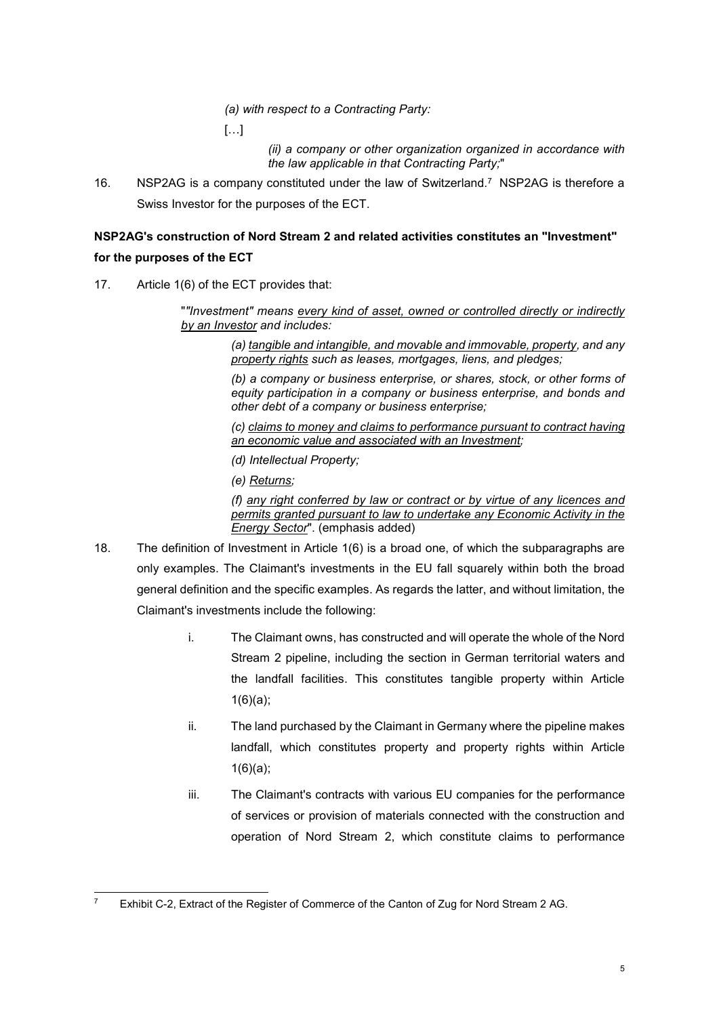(a) with respect to a Contracting Party:

[…]

(ii) a company or other organization organized in accordance with the law applicable in that Contracting Party;"

16. NSP2AG is a company constituted under the law of Switzerland.<sup>7</sup> NSP2AG is therefore a Swiss Investor for the purposes of the ECT.

# NSP2AG's construction of Nord Stream 2 and related activities constitutes an "Investment" for the purposes of the ECT

17. Article 1(6) of the ECT provides that:

""Investment" means every kind of asset, owned or controlled directly or indirectly by an Investor and includes:

> (a) tangible and intangible, and movable and immovable, property, and any property rights such as leases, mortgages, liens, and pledges;

> (b) a company or business enterprise, or shares, stock, or other forms of equity participation in a company or business enterprise, and bonds and other debt of a company or business enterprise;

> (c) claims to money and claims to performance pursuant to contract having an economic value and associated with an Investment;

(d) Intellectual Property;

(e) Returns;

(f) any right conferred by law or contract or by virtue of any licences and permits granted pursuant to law to undertake any Economic Activity in the Energy Sector". (emphasis added)

- 18. The definition of Investment in Article 1(6) is a broad one, of which the subparagraphs are only examples. The Claimant's investments in the EU fall squarely within both the broad general definition and the specific examples. As regards the latter, and without limitation, the Claimant's investments include the following:
	- i. The Claimant owns, has constructed and will operate the whole of the Nord Stream 2 pipeline, including the section in German territorial waters and the landfall facilities. This constitutes tangible property within Article 1(6)(a);
	- ii. The land purchased by the Claimant in Germany where the pipeline makes landfall, which constitutes property and property rights within Article  $1(6)(a)$ ;
	- iii. The Claimant's contracts with various EU companies for the performance of services or provision of materials connected with the construction and operation of Nord Stream 2, which constitute claims to performance

<sup>-</sup>7 Exhibit C-2, Extract of the Register of Commerce of the Canton of Zug for Nord Stream 2 AG.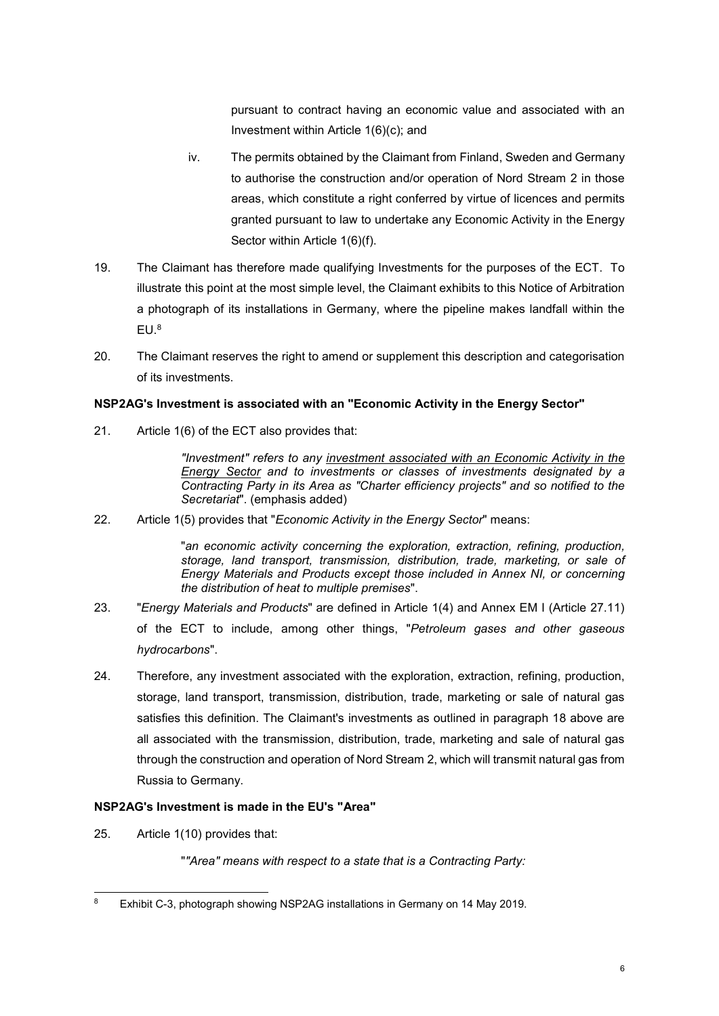pursuant to contract having an economic value and associated with an Investment within Article 1(6)(c); and

- iv. The permits obtained by the Claimant from Finland, Sweden and Germany to authorise the construction and/or operation of Nord Stream 2 in those areas, which constitute a right conferred by virtue of licences and permits granted pursuant to law to undertake any Economic Activity in the Energy Sector within Article 1(6)(f).
- 19. The Claimant has therefore made qualifying Investments for the purposes of the ECT. To illustrate this point at the most simple level, the Claimant exhibits to this Notice of Arbitration a photograph of its installations in Germany, where the pipeline makes landfall within the  $EU.^8$
- 20. The Claimant reserves the right to amend or supplement this description and categorisation of its investments.

### NSP2AG's Investment is associated with an "Economic Activity in the Energy Sector"

21. Article 1(6) of the ECT also provides that:

"Investment" refers to any investment associated with an Economic Activity in the Energy Sector and to investments or classes of investments designated by a Contracting Party in its Area as "Charter efficiency projects" and so notified to the Secretariat". (emphasis added)

22. Article 1(5) provides that "Economic Activity in the Energy Sector" means:

"an economic activity concerning the exploration, extraction, refining, production, storage, land transport, transmission, distribution, trade, marketing, or sale of Energy Materials and Products except those included in Annex NI, or concerning the distribution of heat to multiple premises".

- 23. "Energy Materials and Products" are defined in Article 1(4) and Annex EM I (Article 27.11) of the ECT to include, among other things, "Petroleum gases and other gaseous hydrocarbons".
- 24. Therefore, any investment associated with the exploration, extraction, refining, production, storage, land transport, transmission, distribution, trade, marketing or sale of natural gas satisfies this definition. The Claimant's investments as outlined in paragraph 18 above are all associated with the transmission, distribution, trade, marketing and sale of natural gas through the construction and operation of Nord Stream 2, which will transmit natural gas from Russia to Germany.

### NSP2AG's Investment is made in the EU's "Area"

25. Article 1(10) provides that:

""Area" means with respect to a state that is a Contracting Party:

<sup>-</sup>8 Exhibit C-3, photograph showing NSP2AG installations in Germany on 14 May 2019.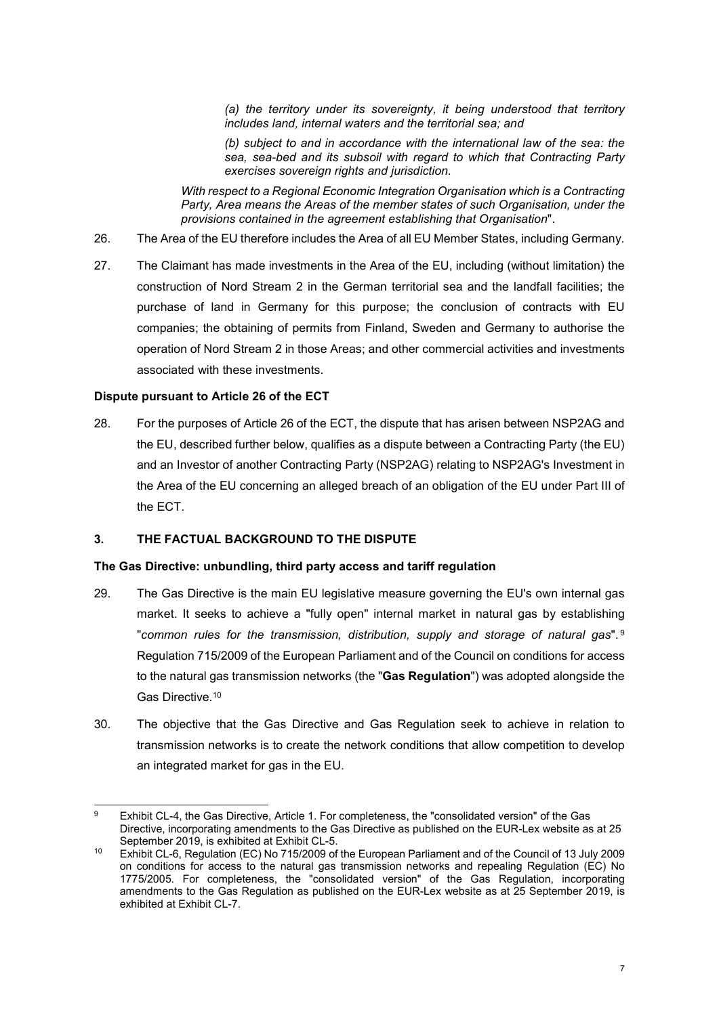(a) the territory under its sovereignty, it being understood that territory includes land, internal waters and the territorial sea; and

(b) subject to and in accordance with the international law of the sea: the sea, sea-bed and its subsoil with regard to which that Contracting Party exercises sovereign rights and jurisdiction.

With respect to a Regional Economic Integration Organisation which is a Contracting Party, Area means the Areas of the member states of such Organisation, under the provisions contained in the agreement establishing that Organisation".

- 26. The Area of the EU therefore includes the Area of all EU Member States, including Germany.
- 27. The Claimant has made investments in the Area of the EU, including (without limitation) the construction of Nord Stream 2 in the German territorial sea and the landfall facilities; the purchase of land in Germany for this purpose; the conclusion of contracts with EU companies; the obtaining of permits from Finland, Sweden and Germany to authorise the operation of Nord Stream 2 in those Areas; and other commercial activities and investments associated with these investments.

#### Dispute pursuant to Article 26 of the ECT

28. For the purposes of Article 26 of the ECT, the dispute that has arisen between NSP2AG and the EU, described further below, qualifies as a dispute between a Contracting Party (the EU) and an Investor of another Contracting Party (NSP2AG) relating to NSP2AG's Investment in the Area of the EU concerning an alleged breach of an obligation of the EU under Part III of the ECT.

### 3. THE FACTUAL BACKGROUND TO THE DISPUTE

#### The Gas Directive: unbundling, third party access and tariff regulation

- 29. The Gas Directive is the main EU legislative measure governing the EU's own internal gas market. It seeks to achieve a "fully open" internal market in natural gas by establishing "common rules for the transmission, distribution, supply and storage of natural gas". $9$ Regulation 715/2009 of the European Parliament and of the Council on conditions for access to the natural gas transmission networks (the "Gas Regulation") was adopted alongside the Gas Directive.<sup>10</sup>
- 30. The objective that the Gas Directive and Gas Regulation seek to achieve in relation to transmission networks is to create the network conditions that allow competition to develop an integrated market for gas in the EU.

<sup>-</sup>9 Exhibit CL-4, the Gas Directive, Article 1. For completeness, the "consolidated version" of the Gas Directive, incorporating amendments to the Gas Directive as published on the EUR-Lex website as at 25 September 2019, is exhibited at Exhibit CL-5.

<sup>10</sup> Exhibit CL-6, Regulation (EC) No 715/2009 of the European Parliament and of the Council of 13 July 2009 on conditions for access to the natural gas transmission networks and repealing Regulation (EC) No 1775/2005. For completeness, the "consolidated version" of the Gas Regulation, incorporating amendments to the Gas Regulation as published on the EUR-Lex website as at 25 September 2019, is exhibited at Exhibit CL-7.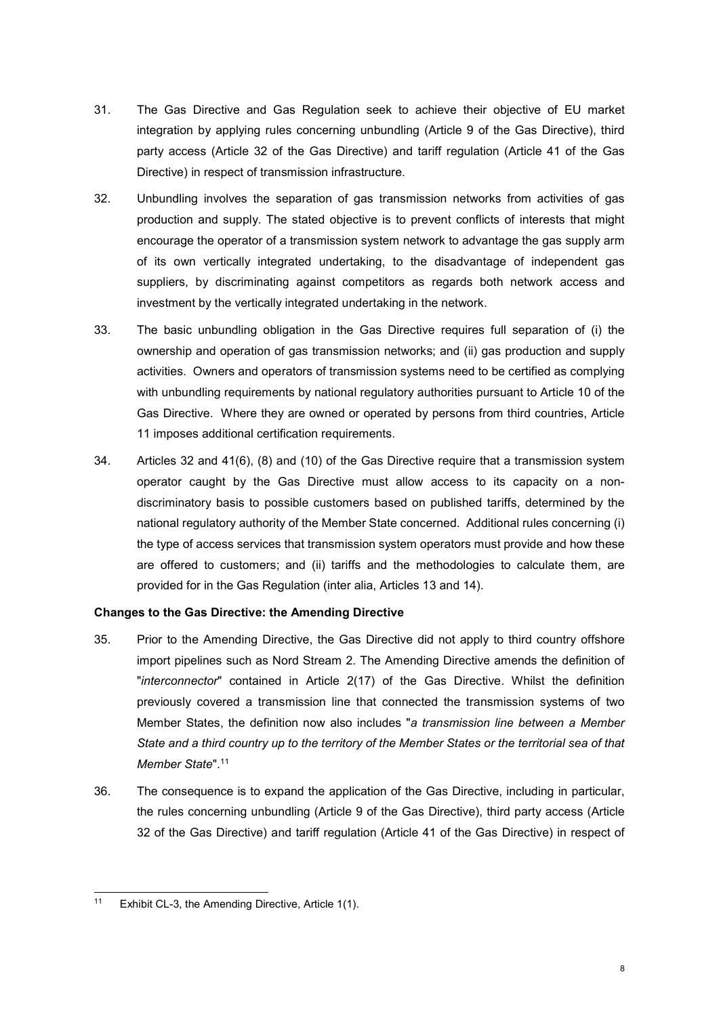- 31. The Gas Directive and Gas Regulation seek to achieve their objective of EU market integration by applying rules concerning unbundling (Article 9 of the Gas Directive), third party access (Article 32 of the Gas Directive) and tariff regulation (Article 41 of the Gas Directive) in respect of transmission infrastructure.
- 32. Unbundling involves the separation of gas transmission networks from activities of gas production and supply. The stated objective is to prevent conflicts of interests that might encourage the operator of a transmission system network to advantage the gas supply arm of its own vertically integrated undertaking, to the disadvantage of independent gas suppliers, by discriminating against competitors as regards both network access and investment by the vertically integrated undertaking in the network.
- 33. The basic unbundling obligation in the Gas Directive requires full separation of (i) the ownership and operation of gas transmission networks; and (ii) gas production and supply activities. Owners and operators of transmission systems need to be certified as complying with unbundling requirements by national regulatory authorities pursuant to Article 10 of the Gas Directive. Where they are owned or operated by persons from third countries, Article 11 imposes additional certification requirements.
- 34. Articles 32 and 41(6), (8) and (10) of the Gas Directive require that a transmission system operator caught by the Gas Directive must allow access to its capacity on a nondiscriminatory basis to possible customers based on published tariffs, determined by the national regulatory authority of the Member State concerned. Additional rules concerning (i) the type of access services that transmission system operators must provide and how these are offered to customers; and (ii) tariffs and the methodologies to calculate them, are provided for in the Gas Regulation (inter alia, Articles 13 and 14).

### Changes to the Gas Directive: the Amending Directive

- 35. Prior to the Amending Directive, the Gas Directive did not apply to third country offshore import pipelines such as Nord Stream 2. The Amending Directive amends the definition of "interconnector" contained in Article 2(17) of the Gas Directive. Whilst the definition previously covered a transmission line that connected the transmission systems of two Member States, the definition now also includes "a transmission line between a Member State and a third country up to the territory of the Member States or the territorial sea of that Member State".<sup>11</sup>
- 36. The consequence is to expand the application of the Gas Directive, including in particular, the rules concerning unbundling (Article 9 of the Gas Directive), third party access (Article 32 of the Gas Directive) and tariff regulation (Article 41 of the Gas Directive) in respect of

 $11$ Exhibit CL-3, the Amending Directive, Article 1(1).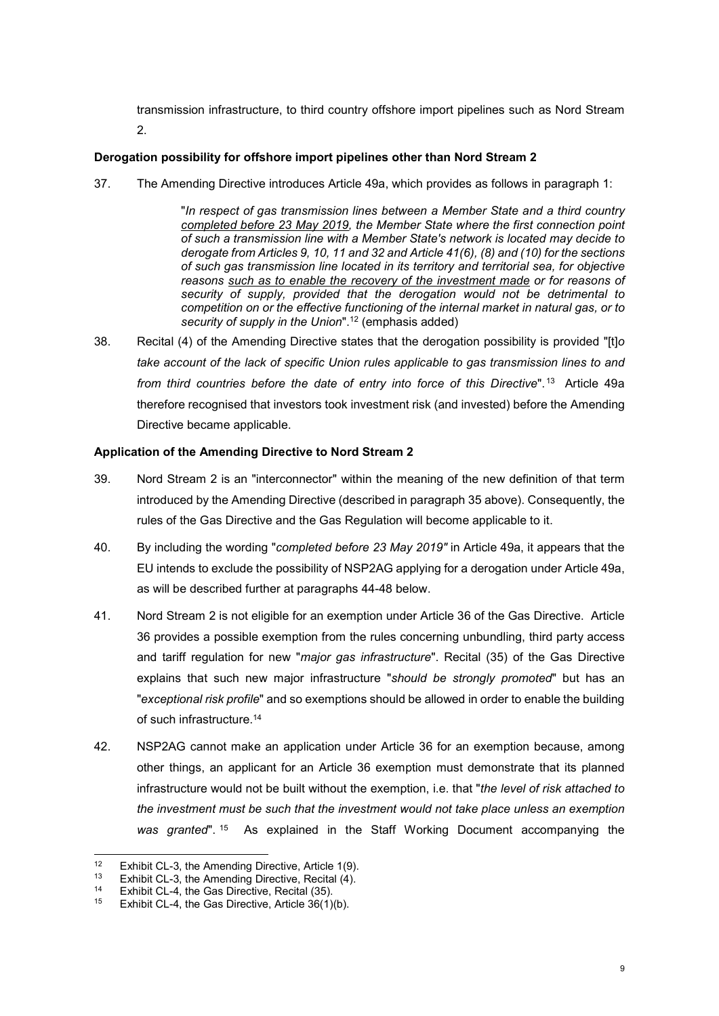transmission infrastructure, to third country offshore import pipelines such as Nord Stream 2.

### Derogation possibility for offshore import pipelines other than Nord Stream 2

37. The Amending Directive introduces Article 49a, which provides as follows in paragraph 1:

"In respect of gas transmission lines between a Member State and a third country completed before 23 May 2019, the Member State where the first connection point of such a transmission line with a Member State's network is located may decide to derogate from Articles 9, 10, 11 and 32 and Article 41(6), (8) and (10) for the sections of such gas transmission line located in its territory and territorial sea, for objective reasons such as to enable the recovery of the investment made or for reasons of security of supply, provided that the derogation would not be detrimental to competition on or the effective functioning of the internal market in natural gas, or to security of supply in the Union".<sup>12</sup> (emphasis added)

38. Recital (4) of the Amending Directive states that the derogation possibility is provided "[t]o take account of the lack of specific Union rules applicable to gas transmission lines to and from third countries before the date of entry into force of this Directive".<sup>13</sup> Article 49a therefore recognised that investors took investment risk (and invested) before the Amending Directive became applicable.

### Application of the Amending Directive to Nord Stream 2

- 39. Nord Stream 2 is an "interconnector" within the meaning of the new definition of that term introduced by the Amending Directive (described in paragraph 35 above). Consequently, the rules of the Gas Directive and the Gas Regulation will become applicable to it.
- 40. By including the wording "completed before 23 May 2019" in Article 49a, it appears that the EU intends to exclude the possibility of NSP2AG applying for a derogation under Article 49a, as will be described further at paragraphs 44-48 below.
- 41. Nord Stream 2 is not eligible for an exemption under Article 36 of the Gas Directive. Article 36 provides a possible exemption from the rules concerning unbundling, third party access and tariff regulation for new "*major gas infrastructure*". Recital (35) of the Gas Directive explains that such new major infrastructure "should be strongly promoted" but has an "exceptional risk profile" and so exemptions should be allowed in order to enable the building of such infrastructure.<sup>14</sup>
- 42. NSP2AG cannot make an application under Article 36 for an exemption because, among other things, an applicant for an Article 36 exemption must demonstrate that its planned infrastructure would not be built without the exemption, i.e. that "the level of risk attached to the investment must be such that the investment would not take place unless an exemption was granted". <sup>15</sup> As explained in the Staff Working Document accompanying the

 $12$ <sup>12</sup> Exhibit CL-3, the Amending Directive, Article 1(9).<br><sup>13</sup> Exhibit CL-3, the Amending Directive, Recital (4)

<sup>&</sup>lt;sup>13</sup> Exhibit CL-3, the Amending Directive, Recital  $\frac{\dot{A}}{\dot{A}}$ .<br><sup>14</sup> Exhibit CL-4, the Gas Directive, Recital (35)

<sup>&</sup>lt;sup>14</sup> Exhibit CL-4, the Gas Directive, Recital (35).<br><sup>15</sup> Exhibit CL-4, the Gas Directive, Article 36(1).

Exhibit CL-4, the Gas Directive, Article  $36(1)(b)$ .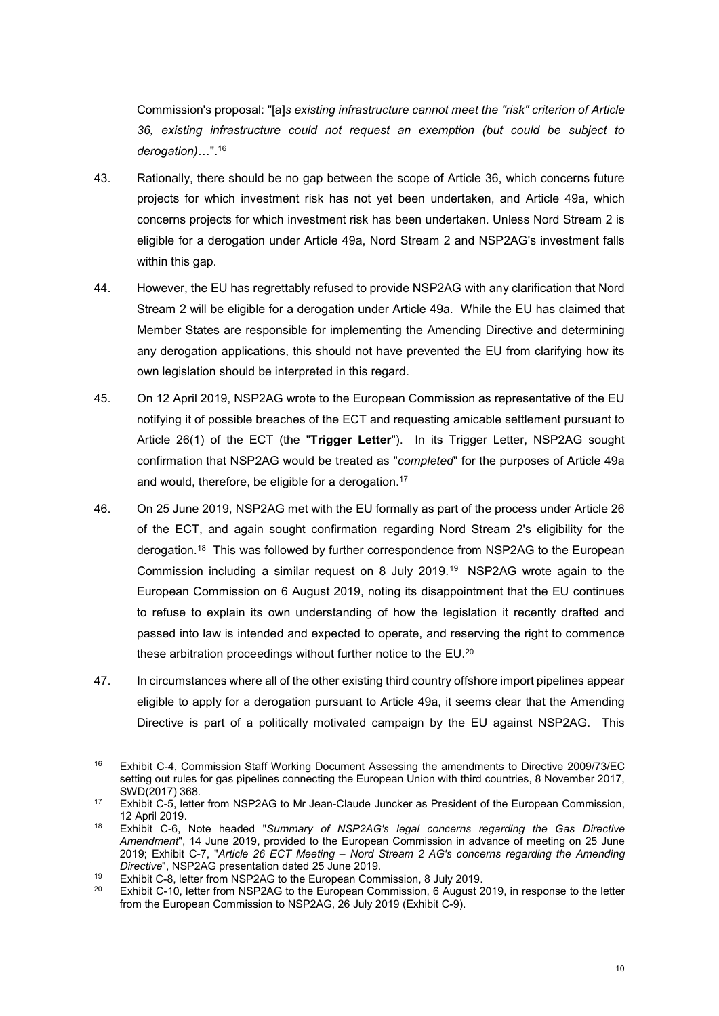Commission's proposal: "[a]s existing infrastructure cannot meet the "risk" criterion of Article 36, existing infrastructure could not request an exemption (but could be subject to derogation)…".<sup>16</sup>

- 43. Rationally, there should be no gap between the scope of Article 36, which concerns future projects for which investment risk has not yet been undertaken, and Article 49a, which concerns projects for which investment risk has been undertaken. Unless Nord Stream 2 is eligible for a derogation under Article 49a, Nord Stream 2 and NSP2AG's investment falls within this gap.
- 44. However, the EU has regrettably refused to provide NSP2AG with any clarification that Nord Stream 2 will be eligible for a derogation under Article 49a. While the EU has claimed that Member States are responsible for implementing the Amending Directive and determining any derogation applications, this should not have prevented the EU from clarifying how its own legislation should be interpreted in this regard.
- 45. On 12 April 2019, NSP2AG wrote to the European Commission as representative of the EU notifying it of possible breaches of the ECT and requesting amicable settlement pursuant to Article 26(1) of the ECT (the "Trigger Letter"). In its Trigger Letter, NSP2AG sought confirmation that NSP2AG would be treated as "completed" for the purposes of Article 49a and would, therefore, be eligible for a derogation.<sup>17</sup>
- 46. On 25 June 2019, NSP2AG met with the EU formally as part of the process under Article 26 of the ECT, and again sought confirmation regarding Nord Stream 2's eligibility for the derogation.<sup>18</sup> This was followed by further correspondence from NSP2AG to the European Commission including a similar request on 8 July 2019.<sup>19</sup> NSP2AG wrote again to the European Commission on 6 August 2019, noting its disappointment that the EU continues to refuse to explain its own understanding of how the legislation it recently drafted and passed into law is intended and expected to operate, and reserving the right to commence these arbitration proceedings without further notice to the EU.<sup>20</sup>
- 47. In circumstances where all of the other existing third country offshore import pipelines appear eligible to apply for a derogation pursuant to Article 49a, it seems clear that the Amending Directive is part of a politically motivated campaign by the EU against NSP2AG. This

 $16$ <sup>16</sup> Exhibit C-4, Commission Staff Working Document Assessing the amendments to Directive 2009/73/EC setting out rules for gas pipelines connecting the European Union with third countries, 8 November 2017, SWD(2017) 368.

<sup>17</sup> Exhibit C-5, letter from NSP2AG to Mr Jean-Claude Juncker as President of the European Commission, 12 April 2019.

<sup>&</sup>lt;sup>18</sup> Exhibit C-6, Note headed "Summary of NSP2AG's legal concerns regarding the Gas Directive Amendment", 14 June 2019, provided to the European Commission in advance of meeting on 25 June 2019; Exhibit C-7, "Article 26 ECT Meeting – Nord Stream 2 AG's concerns regarding the Amending Directive", NSP2AG presentation dated 25 June 2019.

<sup>19</sup> Exhibit C-8, letter from NSP2AG to the European Commission, 8 July 2019.<br>20 Exhibit C 10, letter from NSP2AG to the European Commission, 6 August 2

<sup>20</sup> Exhibit C-10, letter from NSP2AG to the European Commission, 6 August 2019, in response to the letter from the European Commission to NSP2AG, 26 July 2019 (Exhibit C-9).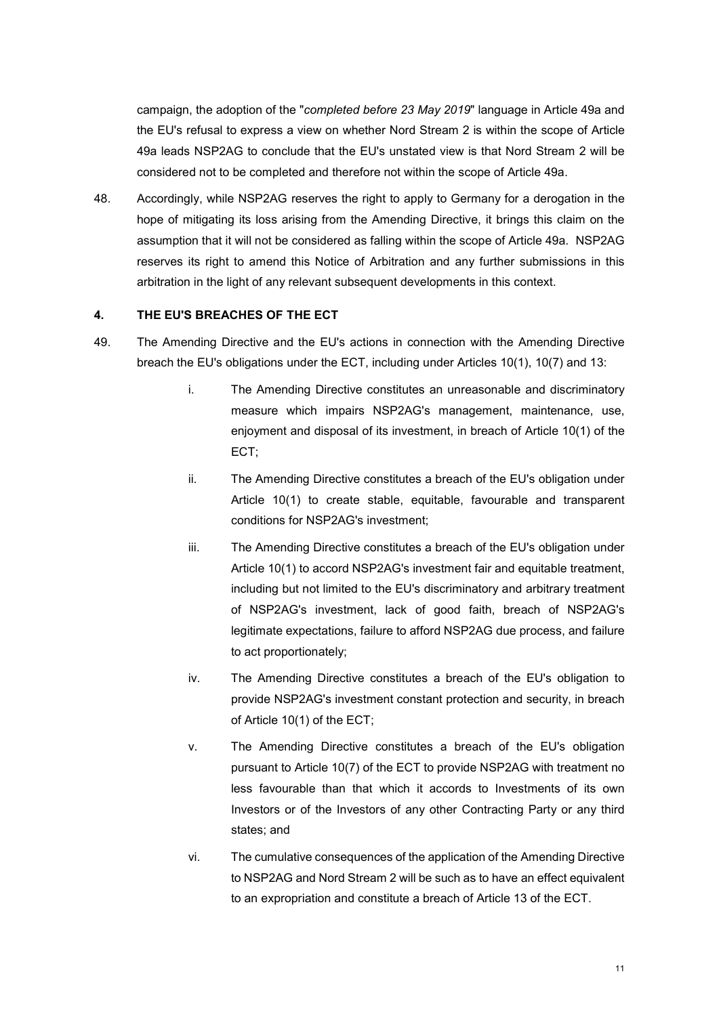campaign, the adoption of the "completed before 23 May 2019" language in Article 49a and the EU's refusal to express a view on whether Nord Stream 2 is within the scope of Article 49a leads NSP2AG to conclude that the EU's unstated view is that Nord Stream 2 will be considered not to be completed and therefore not within the scope of Article 49a.

48. Accordingly, while NSP2AG reserves the right to apply to Germany for a derogation in the hope of mitigating its loss arising from the Amending Directive, it brings this claim on the assumption that it will not be considered as falling within the scope of Article 49a. NSP2AG reserves its right to amend this Notice of Arbitration and any further submissions in this arbitration in the light of any relevant subsequent developments in this context.

### 4. THE EU'S BREACHES OF THE ECT

- 49. The Amending Directive and the EU's actions in connection with the Amending Directive breach the EU's obligations under the ECT, including under Articles 10(1), 10(7) and 13:
	- i. The Amending Directive constitutes an unreasonable and discriminatory measure which impairs NSP2AG's management, maintenance, use, enjoyment and disposal of its investment, in breach of Article 10(1) of the ECT;
	- ii. The Amending Directive constitutes a breach of the EU's obligation under Article 10(1) to create stable, equitable, favourable and transparent conditions for NSP2AG's investment;
	- iii. The Amending Directive constitutes a breach of the EU's obligation under Article 10(1) to accord NSP2AG's investment fair and equitable treatment, including but not limited to the EU's discriminatory and arbitrary treatment of NSP2AG's investment, lack of good faith, breach of NSP2AG's legitimate expectations, failure to afford NSP2AG due process, and failure to act proportionately;
	- iv. The Amending Directive constitutes a breach of the EU's obligation to provide NSP2AG's investment constant protection and security, in breach of Article 10(1) of the ECT;
	- v. The Amending Directive constitutes a breach of the EU's obligation pursuant to Article 10(7) of the ECT to provide NSP2AG with treatment no less favourable than that which it accords to Investments of its own Investors or of the Investors of any other Contracting Party or any third states; and
	- vi. The cumulative consequences of the application of the Amending Directive to NSP2AG and Nord Stream 2 will be such as to have an effect equivalent to an expropriation and constitute a breach of Article 13 of the ECT.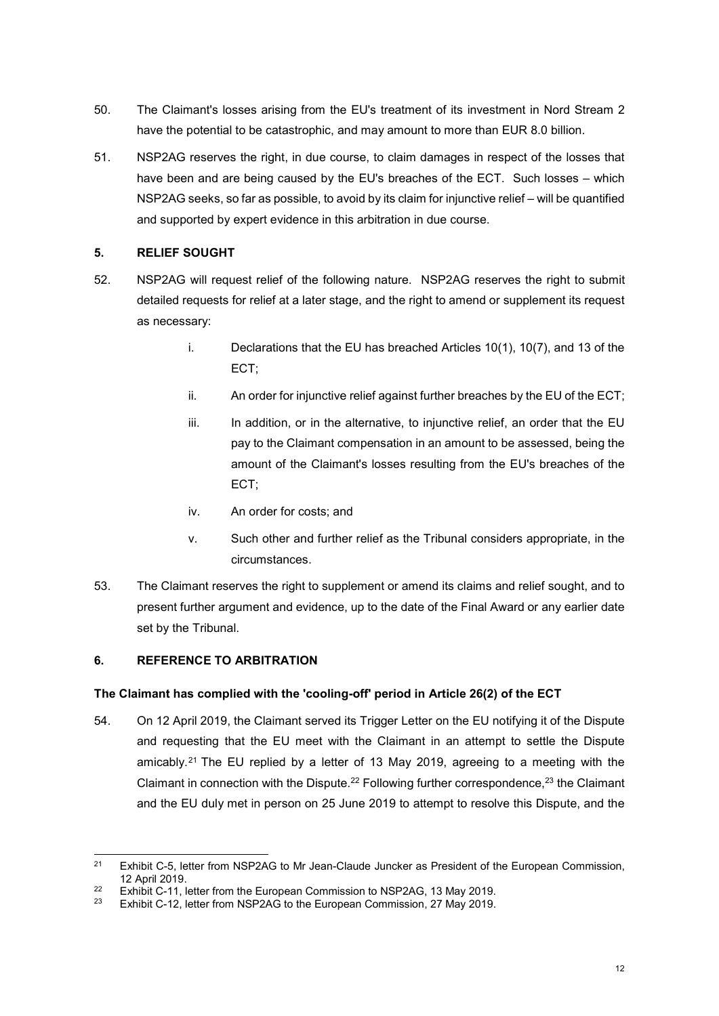- 50. The Claimant's losses arising from the EU's treatment of its investment in Nord Stream 2 have the potential to be catastrophic, and may amount to more than EUR 8.0 billion.
- 51. NSP2AG reserves the right, in due course, to claim damages in respect of the losses that have been and are being caused by the EU's breaches of the ECT. Such losses – which NSP2AG seeks, so far as possible, to avoid by its claim for injunctive relief – will be quantified and supported by expert evidence in this arbitration in due course.

## 5. RELIEF SOUGHT

- 52. NSP2AG will request relief of the following nature. NSP2AG reserves the right to submit detailed requests for relief at a later stage, and the right to amend or supplement its request as necessary:
	- i. Declarations that the EU has breached Articles 10(1), 10(7), and 13 of the ECT;
	- ii. An order for injunctive relief against further breaches by the EU of the ECT;
	- iii. In addition, or in the alternative, to injunctive relief, an order that the EU pay to the Claimant compensation in an amount to be assessed, being the amount of the Claimant's losses resulting from the EU's breaches of the ECT;
	- iv. An order for costs; and
	- v. Such other and further relief as the Tribunal considers appropriate, in the circumstances.
- 53. The Claimant reserves the right to supplement or amend its claims and relief sought, and to present further argument and evidence, up to the date of the Final Award or any earlier date set by the Tribunal.

## 6. REFERENCE TO ARBITRATION

### The Claimant has complied with the 'cooling-off' period in Article 26(2) of the ECT

54. On 12 April 2019, the Claimant served its Trigger Letter on the EU notifying it of the Dispute and requesting that the EU meet with the Claimant in an attempt to settle the Dispute amicably.<sup>21</sup> The EU replied by a letter of 13 May 2019, agreeing to a meeting with the Claimant in connection with the Dispute.<sup>22</sup> Following further correspondence,<sup>23</sup> the Claimant and the EU duly met in person on 25 June 2019 to attempt to resolve this Dispute, and the

 $21$ Exhibit C-5, letter from NSP2AG to Mr Jean-Claude Juncker as President of the European Commission, 12 April 2019.

<sup>&</sup>lt;sup>22</sup> Exhibit C-11, letter from the European Commission to NSP2AG, 13 May 2019.

Exhibit C-12, letter from NSP2AG to the European Commission, 27 May 2019.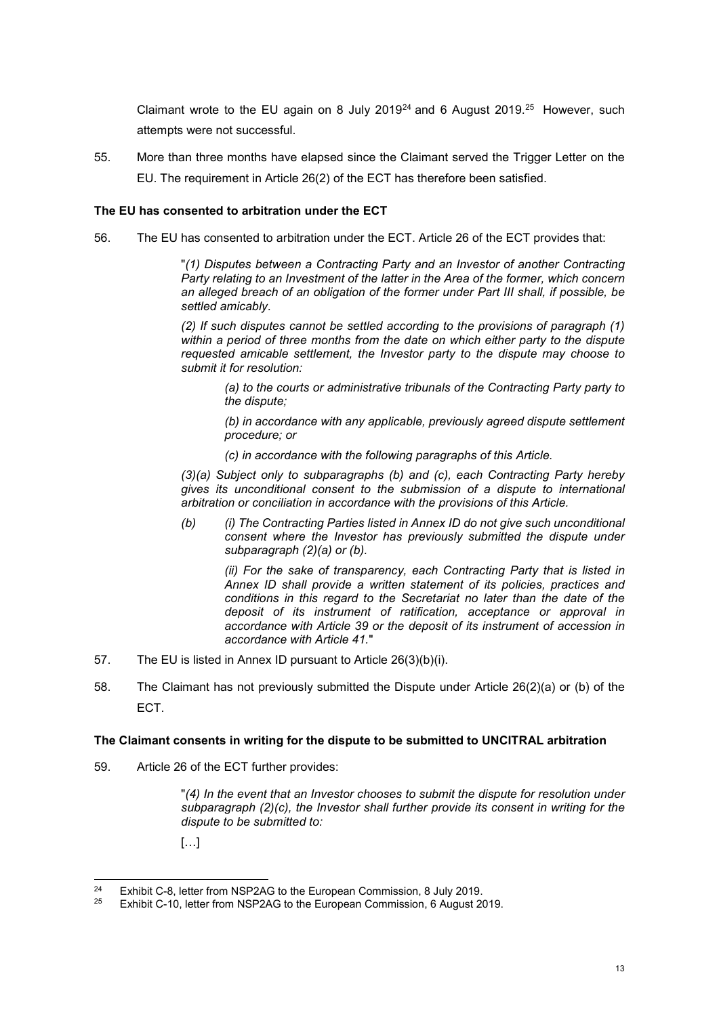Claimant wrote to the EU again on 8 July 2019<sup>24</sup> and 6 August 2019.<sup>25</sup> However, such attempts were not successful.

55. More than three months have elapsed since the Claimant served the Trigger Letter on the EU. The requirement in Article 26(2) of the ECT has therefore been satisfied.

### The EU has consented to arbitration under the ECT

56. The EU has consented to arbitration under the ECT. Article 26 of the ECT provides that:

"(1) Disputes between a Contracting Party and an Investor of another Contracting Party relating to an Investment of the latter in the Area of the former, which concern an alleged breach of an obligation of the former under Part III shall, if possible, be settled amicably.

(2) If such disputes cannot be settled according to the provisions of paragraph (1) within a period of three months from the date on which either party to the dispute requested amicable settlement, the Investor party to the dispute may choose to submit it for resolution:

(a) to the courts or administrative tribunals of the Contracting Party party to the dispute;

(b) in accordance with any applicable, previously agreed dispute settlement procedure; or

(c) in accordance with the following paragraphs of this Article.

(3)(a) Subject only to subparagraphs (b) and (c), each Contracting Party hereby gives its unconditional consent to the submission of a dispute to international arbitration or conciliation in accordance with the provisions of this Article.

(b) (i) The Contracting Parties listed in Annex ID do not give such unconditional consent where the Investor has previously submitted the dispute under subparagraph (2)(a) or (b).

(ii) For the sake of transparency, each Contracting Party that is listed in Annex ID shall provide a written statement of its policies, practices and conditions in this regard to the Secretariat no later than the date of the deposit of its instrument of ratification, acceptance or approval in accordance with Article 39 or the deposit of its instrument of accession in accordance with Article 41."

- 57. The EU is listed in Annex ID pursuant to Article 26(3)(b)(i).
- 58. The Claimant has not previously submitted the Dispute under Article 26(2)(a) or (b) of the ECT.

### The Claimant consents in writing for the dispute to be submitted to UNCITRAL arbitration

59. Article 26 of the ECT further provides:

"(4) In the event that an Investor chooses to submit the dispute for resolution under subparagraph  $(2)(c)$ , the Investor shall further provide its consent in writing for the dispute to be submitted to:

 $\left[\ldots\right]$ 

-

<sup>&</sup>lt;sup>24</sup> Exhibit C-8, letter from NSP2AG to the European Commission, 8 July 2019.

Exhibit C-10, letter from NSP2AG to the European Commission, 6 August 2019.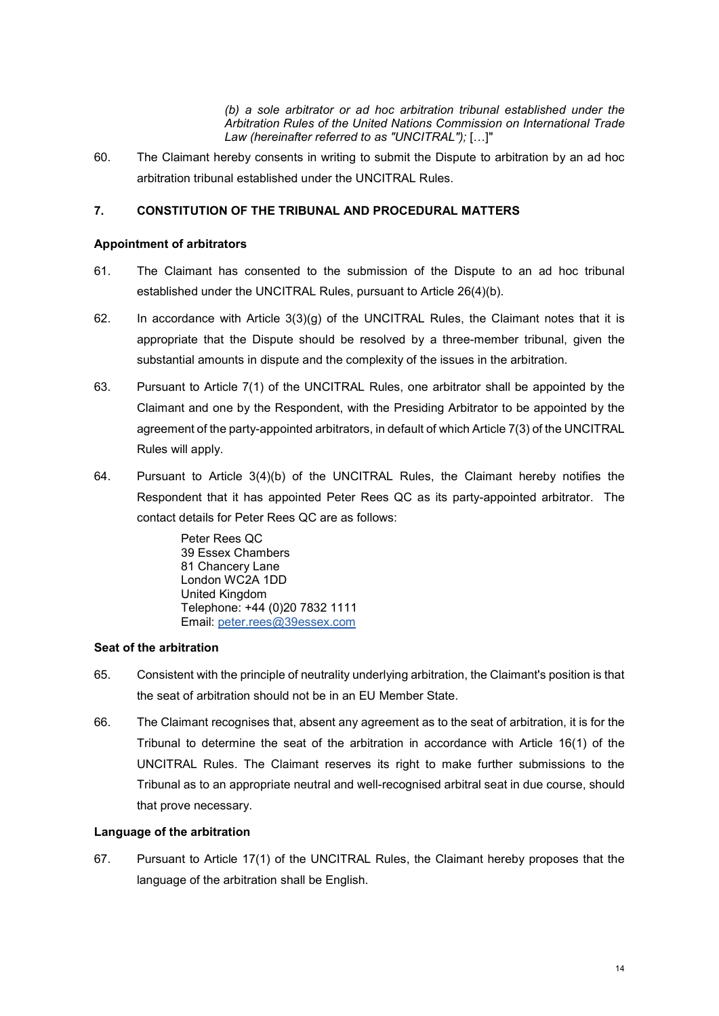(b) a sole arbitrator or ad hoc arbitration tribunal established under the Arbitration Rules of the United Nations Commission on International Trade Law (hereinafter referred to as "UNCITRAL"); […]"

60. The Claimant hereby consents in writing to submit the Dispute to arbitration by an ad hoc arbitration tribunal established under the UNCITRAL Rules.

### 7. CONSTITUTION OF THE TRIBUNAL AND PROCEDURAL MATTERS

#### Appointment of arbitrators

- 61. The Claimant has consented to the submission of the Dispute to an ad hoc tribunal established under the UNCITRAL Rules, pursuant to Article 26(4)(b).
- 62. In accordance with Article  $3(3)(g)$  of the UNCITRAL Rules, the Claimant notes that it is appropriate that the Dispute should be resolved by a three-member tribunal, given the substantial amounts in dispute and the complexity of the issues in the arbitration.
- 63. Pursuant to Article 7(1) of the UNCITRAL Rules, one arbitrator shall be appointed by the Claimant and one by the Respondent, with the Presiding Arbitrator to be appointed by the agreement of the party-appointed arbitrators, in default of which Article 7(3) of the UNCITRAL Rules will apply.
- 64. Pursuant to Article 3(4)(b) of the UNCITRAL Rules, the Claimant hereby notifies the Respondent that it has appointed Peter Rees QC as its party-appointed arbitrator. The contact details for Peter Rees QC are as follows:

Peter Rees QC 39 Essex Chambers 81 Chancery Lane London WC2A 1DD United Kingdom Telephone: +44 (0)20 7832 1111 Email: peter.rees@39essex.com

### Seat of the arbitration

- 65. Consistent with the principle of neutrality underlying arbitration, the Claimant's position is that the seat of arbitration should not be in an EU Member State.
- 66. The Claimant recognises that, absent any agreement as to the seat of arbitration, it is for the Tribunal to determine the seat of the arbitration in accordance with Article 16(1) of the UNCITRAL Rules. The Claimant reserves its right to make further submissions to the Tribunal as to an appropriate neutral and well-recognised arbitral seat in due course, should that prove necessary.

### Language of the arbitration

67. Pursuant to Article 17(1) of the UNCITRAL Rules, the Claimant hereby proposes that the language of the arbitration shall be English.